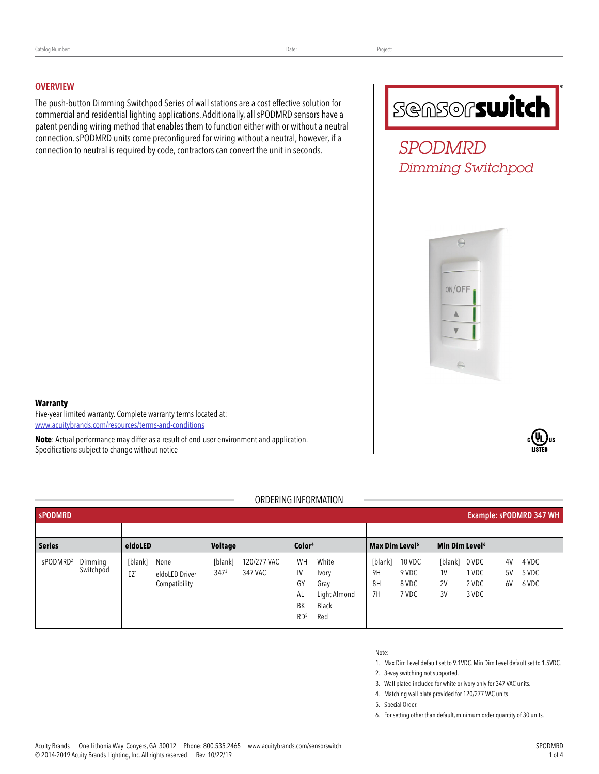#### **OVERVIEW**

The push-button Dimming Switchpod Series of wall stations are a cost effective solution for commercial and residential lighting applications. Additionally, all sPODMRD sensors have a patent pending wiring method that enables them to function either with or without a neutral connection. sPODMRD units come preconfigured for wiring without a neutral, however, if a connection to neutral is required by code, contractors can convert the unit in seconds.

# **SGASOFSwitch**

*SPODMRD Dimming Switchpod*



#### **Warranty**

Five-year limited warranty. Complete warranty terms located at: [www.acuitybrands.com/resources/terms-and-conditions](http://www.acuitybrands.com/resources/terms-and-conditions)

**Note**: Actual performance may differ as a result of end-user environment and application. Specifications subject to change without notice

#### ORDERING INFORMATION

| Example: sPODMRD 347 WH<br><b>sPODMRD</b>    |                                                                       |                                                       |                                                                                                         |                                                                |                                                                                                                        |
|----------------------------------------------|-----------------------------------------------------------------------|-------------------------------------------------------|---------------------------------------------------------------------------------------------------------|----------------------------------------------------------------|------------------------------------------------------------------------------------------------------------------------|
|                                              |                                                                       |                                                       |                                                                                                         |                                                                |                                                                                                                        |
| <b>Series</b>                                | eldoLED                                                               | <b>Voltage</b>                                        | Color <sup>4</sup>                                                                                      | Max Dim Level <sup>6</sup>                                     | Min Dim Level <sup>6</sup>                                                                                             |
| sPODMRD <sup>2</sup><br>Dimming<br>Switchpod | [blank]<br>None<br>EZ <sup>1</sup><br>eldoLED Driver<br>Compatibility | 120/277 VAC<br>[blank]<br>347 <sup>3</sup><br>347 VAC | White<br>WH<br>IV<br>Ivory<br>GY<br>Gray<br>Light Almond<br>AL<br>BK<br>Black<br>RD <sup>5</sup><br>Red | 10 VDC<br>[blank]<br>9 VDC<br>9H<br>8H<br>8 VDC<br>7H<br>7 VDC | 0 VDC<br>4 VDC<br>4V<br>[blank]<br>1 VDC<br>5 VDC<br>1 <sup>V</sup><br>5V<br>2 VDC<br>2V<br>6 VDC<br>6V<br>3 VDC<br>3V |

- Note:
- 1. Max Dim Level default set to 9.1VDC. Min Dim Level default set to 1.5VDC.
- 2. 3-way switching not supported.
- 3. Wall plated included for white or ivory only for 347 VAC units.
- 4. Matching wall plate provided for 120/277 VAC units.
- 5. Special Order.

6. For setting other than default, minimum order quantity of 30 units.

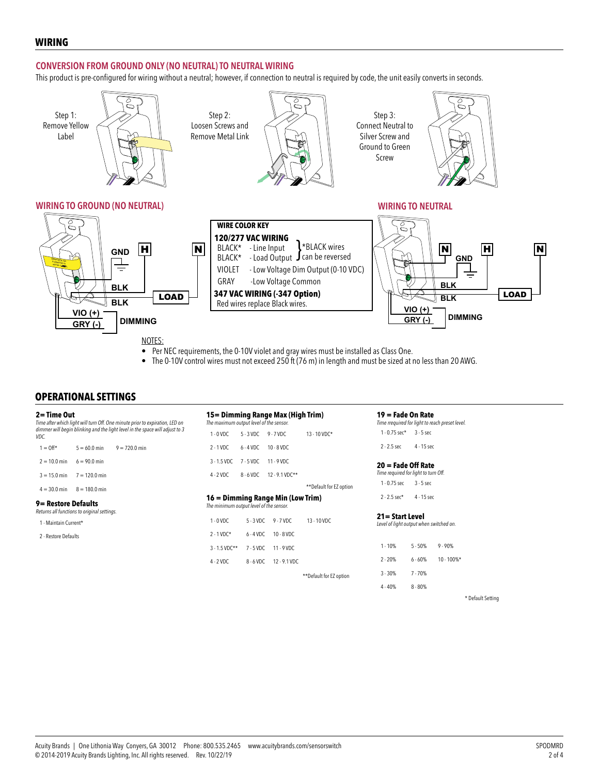#### **WIRING**

#### **CONVERSION FROM GROUND ONLY (NO NEUTRAL) TO NEUTRAL WIRING**

This product is pre-configured for wiring without a neutral; however, if connection to neutral is required by code, the unit easily converts in seconds.



- Per NEC requirements, the 0-10V violet and gray wires must be installed as Class One.
- The 0-10V control wires must not exceed 250 ft (76 m) in length and must be sized at no less than 20 AWG.

#### **OPERATIONAL SETTINGS**

| 2= Time Out<br>Time after which light will turn Off. One minute prior to expiration, LED on<br>dimmer will begin blinking and the light level in the space will adjust to 3<br>VDC. |                 | 15 = Dimming Range Max (High Trim)<br>The maximum output level of the sensor. |                        |             | 19 = Fade On Rate<br>Time rrequired for light to reach preset level.      |                         |                                                              |              |               |  |
|-------------------------------------------------------------------------------------------------------------------------------------------------------------------------------------|-----------------|-------------------------------------------------------------------------------|------------------------|-------------|---------------------------------------------------------------------------|-------------------------|--------------------------------------------------------------|--------------|---------------|--|
|                                                                                                                                                                                     |                 | $1 - 0$ VDC                                                                   | $5 - 3$ VDC<br>9-7 VDC |             | 13 - 10 VDC*                                                              |                         | $1 - 0.75$ sec* $3 - 5$ sec                                  |              |               |  |
| $1 = 0$ ff*                                                                                                                                                                         | $5 = 60.0$ min  | $9 = 720.0$ min                                                               | $2 - 1$ VDC            | $6 - 4$ VDC | 10 - 8 VDC                                                                |                         | $2 - 2.5$ sec                                                | $4 - 15$ sec |               |  |
| $2 = 10.0$ min                                                                                                                                                                      | $6 = 90.0$ min  |                                                                               | $3 - 1.5$ VDC          | 7 - 5 VDC   | 11 - 9 VDC                                                                |                         | $20 =$ Fade Off Rate<br>Time required for light to turn Off. |              |               |  |
| $3 = 15.0$ min                                                                                                                                                                      | $7 = 120.0$ min |                                                                               | $4 - 2$ VDC            | 8-6 VDC     | 12 - 9.1 VDC**                                                            |                         |                                                              |              |               |  |
| $4 = 30.0$ min                                                                                                                                                                      | $8 = 180.0$ min |                                                                               |                        |             |                                                                           | **Default for EZ option | $1 - 0.75$ sec                                               | $3 - 5$ sec  |               |  |
| 9= Restore Defaults<br>Returns all functions to original settings.<br>1 - Maintain Current*                                                                                         |                 | 16 = Dimming Range Min (Low Trim)<br>The minimum output level of the sensor.  |                        |             | $2 - 2.5$ sec*<br>$4 - 15$ sec                                            |                         |                                                              |              |               |  |
|                                                                                                                                                                                     |                 | $1 - 0$ VDC                                                                   | $5 - 3$ VDC            | $9 - 7$ VDC | 21= Start Level<br>13 - 10 VDC<br>Level of light output when switched on. |                         |                                                              |              |               |  |
| 2 - Restore Defaults                                                                                                                                                                |                 |                                                                               | $2 - 1$ VDC*           | $6 - 4$ VDC | $10 - 8$ VDC                                                              |                         |                                                              |              |               |  |
|                                                                                                                                                                                     |                 |                                                                               | $3 - 1.5$ VDC**        | $7 - 5$ VDC | 11 - 9 VDC                                                                |                         | $1 - 10%$                                                    | $5 - 50%$    | $9 - 90%$     |  |
|                                                                                                                                                                                     |                 |                                                                               | $4 - 2$ VDC            | 8-6 VDC     | 12 - 9.1 VDC                                                              |                         | $2 - 20%$                                                    | $6 - 60%$    | $10 - 100\%*$ |  |
|                                                                                                                                                                                     |                 |                                                                               |                        |             |                                                                           | **Default for EZ option | $3 - 30%$                                                    | $7 - 70%$    |               |  |
|                                                                                                                                                                                     |                 |                                                                               |                        |             |                                                                           |                         | $4 - 40%$                                                    | $8 - 80%$    |               |  |

\* Default Setting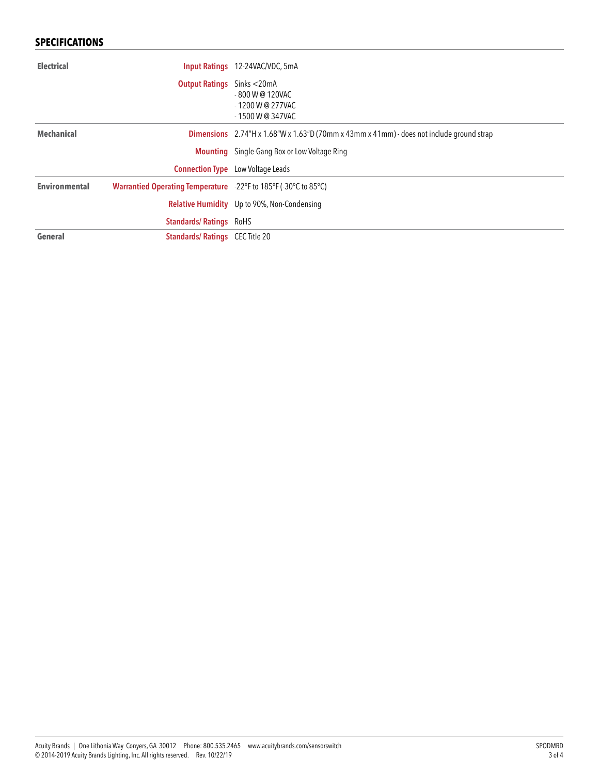## **SPECIFICATIONS**

| <b>Electrical</b>    |                                                                 | <b>Input Ratings</b> 12-24VAC/VDC, 5mA                                                   |
|----------------------|-----------------------------------------------------------------|------------------------------------------------------------------------------------------|
|                      | <b>Output Ratings</b>                                           | Sinks $<$ 20 mA<br>- 800 W @ 120VAC<br>$-1200$ W @ 277VAC<br>$-1500$ W @ 347VAC          |
| <b>Mechanical</b>    |                                                                 | Dimensions 2.74"H x 1.68"W x 1.63"D (70mm x 43mm x 41mm) - does not include ground strap |
|                      |                                                                 | <b>Mounting</b> Single-Gang Box or Low Voltage Ring                                      |
|                      |                                                                 | <b>Connection Type</b> Low Voltage Leads                                                 |
| <b>Environmental</b> | Warrantied Operating Temperature -22°F to 185°F (-30°C to 85°C) |                                                                                          |
|                      |                                                                 | <b>Relative Humidity</b> Up to 90%, Non-Condensing                                       |
|                      | <b>Standards/Ratings RoHS</b>                                   |                                                                                          |
| General              | <b>Standards/Ratings CEC Title 20</b>                           |                                                                                          |